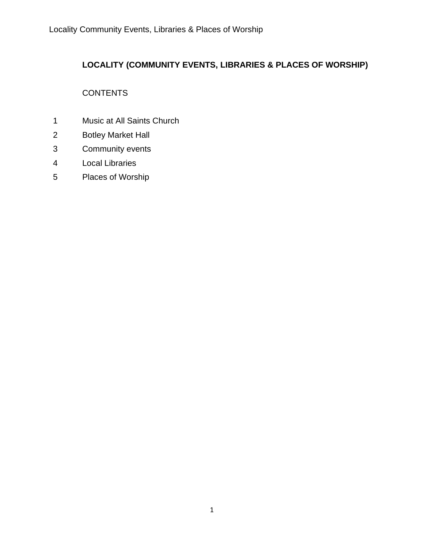## **LOCALITY (COMMUNITY EVENTS, LIBRARIES & PLACES OF WORSHIP)**

# **CONTENTS**

- Music at All Saints Church
- Botley Market Hall
- Community events
- Local Libraries
- Places of Worship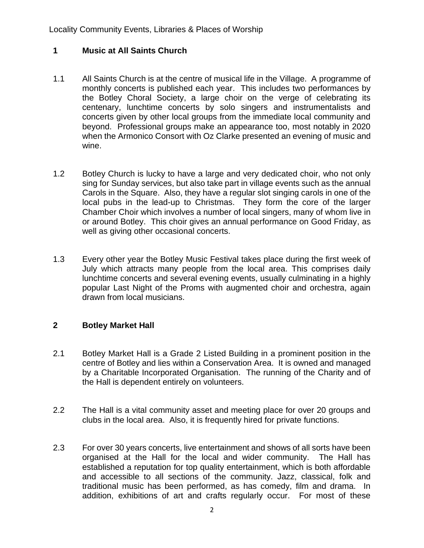### **1 Music at All Saints Church**

- 1.1 All Saints Church is at the centre of musical life in the Village. A programme of monthly concerts is published each year. This includes two performances by the Botley Choral Society, a large choir on the verge of celebrating its centenary, lunchtime concerts by solo singers and instrumentalists and concerts given by other local groups from the immediate local community and beyond. Professional groups make an appearance too, most notably in 2020 when the Armonico Consort with Oz Clarke presented an evening of music and wine.
- 1.2 Botley Church is lucky to have a large and very dedicated choir, who not only sing for Sunday services, but also take part in village events such as the annual Carols in the Square. Also, they have a regular slot singing carols in one of the local pubs in the lead-up to Christmas. They form the core of the larger Chamber Choir which involves a number of local singers, many of whom live in or around Botley. This choir gives an annual performance on Good Friday, as well as giving other occasional concerts.
- 1.3 Every other year the Botley Music Festival takes place during the first week of July which attracts many people from the local area. This comprises daily lunchtime concerts and several evening events, usually culminating in a highly popular Last Night of the Proms with augmented choir and orchestra, again drawn from local musicians.

### **2 Botley Market Hall**

- 2.1 Botley Market Hall is a Grade 2 Listed Building in a prominent position in the centre of Botley and lies within a Conservation Area. It is owned and managed by a Charitable Incorporated Organisation. The running of the Charity and of the Hall is dependent entirely on volunteers.
- 2.2 The Hall is a vital community asset and meeting place for over 20 groups and clubs in the local area. Also, it is frequently hired for private functions.
- 2.3 For over 30 years concerts, live entertainment and shows of all sorts have been organised at the Hall for the local and wider community. The Hall has established a reputation for top quality entertainment, which is both affordable and accessible to all sections of the community. Jazz, classical, folk and traditional music has been performed, as has comedy, film and drama. In addition, exhibitions of art and crafts regularly occur. For most of these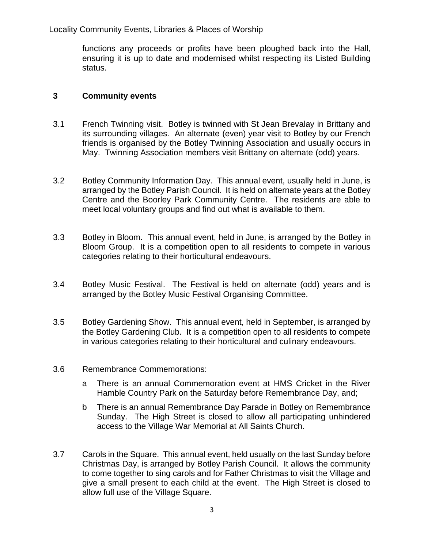Locality Community Events, Libraries & Places of Worship

functions any proceeds or profits have been ploughed back into the Hall, ensuring it is up to date and modernised whilst respecting its Listed Building status.

#### **3 Community events**

- 3.1 French Twinning visit. Botley is twinned with St Jean Brevalay in Brittany and its surrounding villages. An alternate (even) year visit to Botley by our French friends is organised by the Botley Twinning Association and usually occurs in May. Twinning Association members visit Brittany on alternate (odd) years.
- 3.2 Botley Community Information Day. This annual event, usually held in June, is arranged by the Botley Parish Council. It is held on alternate years at the Botley Centre and the Boorley Park Community Centre. The residents are able to meet local voluntary groups and find out what is available to them.
- 3.3 Botley in Bloom. This annual event, held in June, is arranged by the Botley in Bloom Group. It is a competition open to all residents to compete in various categories relating to their horticultural endeavours.
- 3.4 Botley Music Festival. The Festival is held on alternate (odd) years and is arranged by the Botley Music Festival Organising Committee.
- 3.5 Botley Gardening Show. This annual event, held in September, is arranged by the Botley Gardening Club. It is a competition open to all residents to compete in various categories relating to their horticultural and culinary endeavours.
- 3.6 Remembrance Commemorations:
	- a There is an annual Commemoration event at HMS Cricket in the River Hamble Country Park on the Saturday before Remembrance Day, and;
	- b There is an annual Remembrance Day Parade in Botley on Remembrance Sunday. The High Street is closed to allow all participating unhindered access to the Village War Memorial at All Saints Church.
- 3.7 Carols in the Square. This annual event, held usually on the last Sunday before Christmas Day, is arranged by Botley Parish Council. It allows the community to come together to sing carols and for Father Christmas to visit the Village and give a small present to each child at the event. The High Street is closed to allow full use of the Village Square.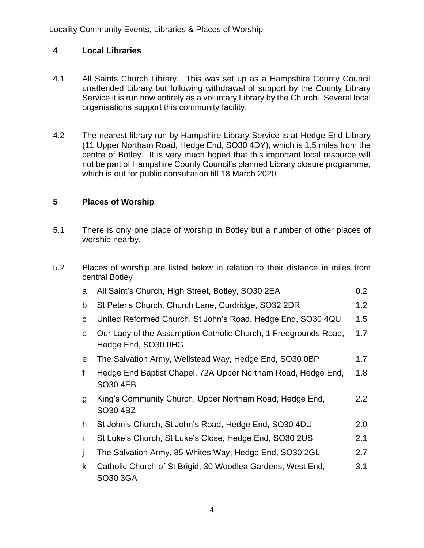## **4 Local Libraries**

- 4.1 All Saints Church Library. This was set up as a Hampshire County Council unattended Library but following withdrawal of support by the County Library Service it is run now entirely as a voluntary Library by the Church. Several local organisations support this community facility.
- 4.2 The nearest library run by Hampshire Library Service is at Hedge End Library (11 Upper Northam Road, Hedge End, SO30 4DY), which is 1.5 miles from the centre of Botley. It is very much hoped that this important local resource will not be part of Hampshire County Council's planned Library closure programme, which is out for public consultation till 18 March 2020

### **5 Places of Worship**

- 5.1 There is only one place of worship in Botley but a number of other places of worship nearby.
- 5.2 Places of worship are listed below in relation to their distance in miles from central Botley

| a            | All Saint's Church, High Street, Botley, SO30 2EA                                      | 0.2 <sub>0</sub> |
|--------------|----------------------------------------------------------------------------------------|------------------|
| b            | St Peter's Church, Church Lane, Curdridge, SO32 2DR                                    |                  |
| С            | United Reformed Church, St John's Road, Hedge End, SO30 4QU                            | 1.5              |
| d            | Our Lady of the Assumption Catholic Church, 1 Freegrounds Road,<br>Hedge End, SO30 0HG |                  |
| e            | The Salvation Army, Wellstead Way, Hedge End, SO30 0BP                                 | 1.7              |
| f            | Hedge End Baptist Chapel, 72A Upper Northam Road, Hedge End,<br>SO30 4EB               | 1.8              |
| g            | King's Community Church, Upper Northam Road, Hedge End,<br>SO30 4BZ                    | $2.2^{\circ}$    |
| h.           | St John's Church, St John's Road, Hedge End, SO30 4DU                                  | 2.0              |
| Ť            | St Luke's Church, St Luke's Close, Hedge End, SO30 2US                                 | 2.1              |
|              | The Salvation Army, 85 Whites Way, Hedge End, SO30 2GL                                 | 2.7              |
| $\mathsf{k}$ | Catholic Church of St Brigid, 30 Woodlea Gardens, West End,<br>SO30 3GA                | 3.1              |